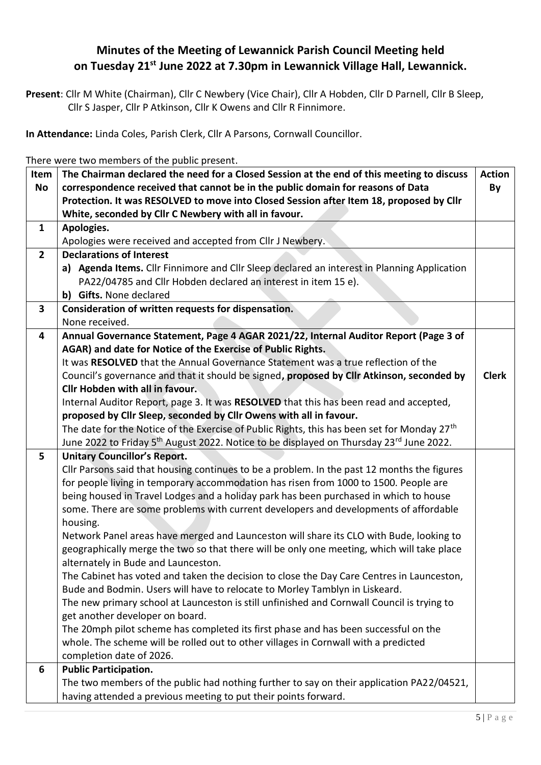## **Minutes of the Meeting of Lewannick Parish Council Meeting held on Tuesday 21st June 2022 at 7.30pm in Lewannick Village Hall, Lewannick.**

**Present**: Cllr M White (Chairman), Cllr C Newbery (Vice Chair), Cllr A Hobden, Cllr D Parnell, Cllr B Sleep, Cllr S Jasper, Cllr P Atkinson, Cllr K Owens and Cllr R Finnimore.

**In Attendance:** Linda Coles, Parish Clerk, Cllr A Parsons, Cornwall Councillor.

There were two members of the public present.

| Item           | The Chairman declared the need for a Closed Session at the end of this meeting to discuss<br><b>Action</b>                                                                    |              |  |  |
|----------------|-------------------------------------------------------------------------------------------------------------------------------------------------------------------------------|--------------|--|--|
| <b>No</b>      | correspondence received that cannot be in the public domain for reasons of Data<br>By                                                                                         |              |  |  |
|                | Protection. It was RESOLVED to move into Closed Session after Item 18, proposed by Cllr                                                                                       |              |  |  |
|                | White, seconded by Cllr C Newbery with all in favour.                                                                                                                         |              |  |  |
| $\mathbf{1}$   | Apologies.                                                                                                                                                                    |              |  |  |
|                | Apologies were received and accepted from Cllr J Newbery.                                                                                                                     |              |  |  |
| $\overline{2}$ | <b>Declarations of Interest</b>                                                                                                                                               |              |  |  |
|                | a) Agenda Items. Cllr Finnimore and Cllr Sleep declared an interest in Planning Application                                                                                   |              |  |  |
|                | PA22/04785 and Cllr Hobden declared an interest in item 15 e).<br>b) Gifts. None declared                                                                                     |              |  |  |
| 3              | Consideration of written requests for dispensation.                                                                                                                           |              |  |  |
|                | None received.                                                                                                                                                                |              |  |  |
| 4              | Annual Governance Statement, Page 4 AGAR 2021/22, Internal Auditor Report (Page 3 of                                                                                          |              |  |  |
|                | AGAR) and date for Notice of the Exercise of Public Rights.                                                                                                                   |              |  |  |
|                | It was RESOLVED that the Annual Governance Statement was a true reflection of the                                                                                             |              |  |  |
|                | Council's governance and that it should be signed, proposed by Cllr Atkinson, seconded by                                                                                     | <b>Clerk</b> |  |  |
|                | <b>Cllr Hobden with all in favour.</b>                                                                                                                                        |              |  |  |
|                | Internal Auditor Report, page 3. It was RESOLVED that this has been read and accepted,                                                                                        |              |  |  |
|                | proposed by Cllr Sleep, seconded by Cllr Owens with all in favour.                                                                                                            |              |  |  |
|                | The date for the Notice of the Exercise of Public Rights, this has been set for Monday 27 <sup>th</sup>                                                                       |              |  |  |
|                | June 2022 to Friday 5 <sup>th</sup> August 2022. Notice to be displayed on Thursday 23 <sup>rd</sup> June 2022.                                                               |              |  |  |
| 5              | <b>Unitary Councillor's Report.</b>                                                                                                                                           |              |  |  |
|                | Cllr Parsons said that housing continues to be a problem. In the past 12 months the figures                                                                                   |              |  |  |
|                | for people living in temporary accommodation has risen from 1000 to 1500. People are                                                                                          |              |  |  |
|                | being housed in Travel Lodges and a holiday park has been purchased in which to house<br>some. There are some problems with current developers and developments of affordable |              |  |  |
|                | housing.                                                                                                                                                                      |              |  |  |
|                | Network Panel areas have merged and Launceston will share its CLO with Bude, looking to                                                                                       |              |  |  |
|                | geographically merge the two so that there will be only one meeting, which will take place                                                                                    |              |  |  |
|                | alternately in Bude and Launceston.                                                                                                                                           |              |  |  |
|                | The Cabinet has voted and taken the decision to close the Day Care Centres in Launceston,                                                                                     |              |  |  |
|                | Bude and Bodmin. Users will have to relocate to Morley Tamblyn in Liskeard.                                                                                                   |              |  |  |
|                | The new primary school at Launceston is still unfinished and Cornwall Council is trying to                                                                                    |              |  |  |
|                | get another developer on board.                                                                                                                                               |              |  |  |
|                | The 20mph pilot scheme has completed its first phase and has been successful on the                                                                                           |              |  |  |
|                | whole. The scheme will be rolled out to other villages in Cornwall with a predicted                                                                                           |              |  |  |
|                | completion date of 2026.                                                                                                                                                      |              |  |  |
| 6              | <b>Public Participation.</b>                                                                                                                                                  |              |  |  |
|                | The two members of the public had nothing further to say on their application PA22/04521,                                                                                     |              |  |  |
|                | having attended a previous meeting to put their points forward.                                                                                                               |              |  |  |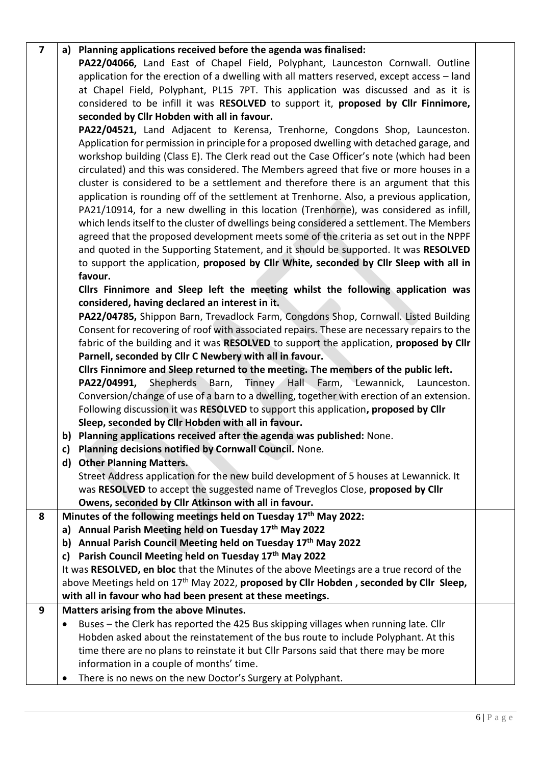| 7 |           | a) Planning applications received before the agenda was finalised:                                 |  |
|---|-----------|----------------------------------------------------------------------------------------------------|--|
|   |           | PA22/04066, Land East of Chapel Field, Polyphant, Launceston Cornwall. Outline                     |  |
|   |           | application for the erection of a dwelling with all matters reserved, except access - land         |  |
|   |           | at Chapel Field, Polyphant, PL15 7PT. This application was discussed and as it is                  |  |
|   |           | considered to be infill it was RESOLVED to support it, proposed by Cllr Finnimore,                 |  |
|   |           | seconded by Cllr Hobden with all in favour.                                                        |  |
|   |           | PA22/04521, Land Adjacent to Kerensa, Trenhorne, Congdons Shop, Launceston.                        |  |
|   |           | Application for permission in principle for a proposed dwelling with detached garage, and          |  |
|   |           | workshop building (Class E). The Clerk read out the Case Officer's note (which had been            |  |
|   |           | circulated) and this was considered. The Members agreed that five or more houses in a              |  |
|   |           | cluster is considered to be a settlement and therefore there is an argument that this              |  |
|   |           | application is rounding off of the settlement at Trenhorne. Also, a previous application,          |  |
|   |           | PA21/10914, for a new dwelling in this location (Trenhorne), was considered as infill,             |  |
|   |           | which lends itself to the cluster of dwellings being considered a settlement. The Members          |  |
|   |           | agreed that the proposed development meets some of the criteria as set out in the NPPF             |  |
|   |           | and quoted in the Supporting Statement, and it should be supported. It was RESOLVED                |  |
|   |           | to support the application, proposed by Cllr White, seconded by Cllr Sleep with all in             |  |
|   |           | favour.                                                                                            |  |
|   |           | Cllrs Finnimore and Sleep left the meeting whilst the following application was                    |  |
|   |           | considered, having declared an interest in it.                                                     |  |
|   |           | PA22/04785, Shippon Barn, Trevadlock Farm, Congdons Shop, Cornwall. Listed Building                |  |
|   |           | Consent for recovering of roof with associated repairs. These are necessary repairs to the         |  |
|   |           | fabric of the building and it was RESOLVED to support the application, proposed by Cllr            |  |
|   |           | Parnell, seconded by Cllr C Newbery with all in favour.                                            |  |
|   |           | Cllrs Finnimore and Sleep returned to the meeting. The members of the public left.                 |  |
|   |           | PA22/04991, Shepherds Barn, Tinney Hall Farm, Lewannick, Launceston.                               |  |
|   |           | Conversion/change of use of a barn to a dwelling, together with erection of an extension.          |  |
|   |           | Following discussion it was RESOLVED to support this application, proposed by Cllr                 |  |
|   |           | Sleep, seconded by Cllr Hobden with all in favour.                                                 |  |
|   |           | b) Planning applications received after the agenda was published: None.                            |  |
|   | c)        | Planning decisions notified by Cornwall Council. None.                                             |  |
|   | d)        | <b>Other Planning Matters.</b>                                                                     |  |
|   |           | Street Address application for the new build development of 5 houses at Lewannick. It              |  |
|   |           | was RESOLVED to accept the suggested name of Treveglos Close, proposed by Cllr                     |  |
|   |           | Owens, seconded by Cllr Atkinson with all in favour.                                               |  |
| 8 |           | Minutes of the following meetings held on Tuesday 17th May 2022:                                   |  |
|   | a)        | Annual Parish Meeting held on Tuesday 17th May 2022                                                |  |
|   | b)        | Annual Parish Council Meeting held on Tuesday 17 <sup>th</sup> May 2022                            |  |
|   | c)        | Parish Council Meeting held on Tuesday 17th May 2022                                               |  |
|   |           | It was RESOLVED, en bloc that the Minutes of the above Meetings are a true record of the           |  |
|   |           | above Meetings held on 17 <sup>th</sup> May 2022, proposed by Cllr Hobden, seconded by Cllr Sleep, |  |
|   |           | with all in favour who had been present at these meetings.                                         |  |
| 9 |           | Matters arising from the above Minutes.                                                            |  |
|   | ٠         | Buses - the Clerk has reported the 425 Bus skipping villages when running late. Cllr               |  |
|   |           | Hobden asked about the reinstatement of the bus route to include Polyphant. At this                |  |
|   |           | time there are no plans to reinstate it but Cllr Parsons said that there may be more               |  |
|   |           | information in a couple of months' time.                                                           |  |
|   | $\bullet$ | There is no news on the new Doctor's Surgery at Polyphant.                                         |  |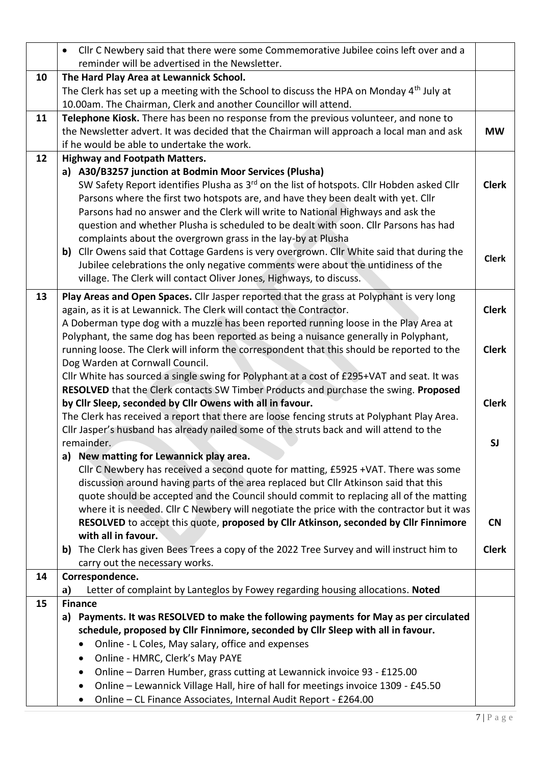|    | Cllr C Newbery said that there were some Commemorative Jubilee coins left over and a<br>$\bullet$                                                                                          |              |  |  |
|----|--------------------------------------------------------------------------------------------------------------------------------------------------------------------------------------------|--------------|--|--|
|    | reminder will be advertised in the Newsletter.                                                                                                                                             |              |  |  |
| 10 | The Hard Play Area at Lewannick School.                                                                                                                                                    |              |  |  |
|    | The Clerk has set up a meeting with the School to discuss the HPA on Monday 4 <sup>th</sup> July at                                                                                        |              |  |  |
|    | 10.00am. The Chairman, Clerk and another Councillor will attend.                                                                                                                           |              |  |  |
| 11 | Telephone Kiosk. There has been no response from the previous volunteer, and none to                                                                                                       |              |  |  |
|    | the Newsletter advert. It was decided that the Chairman will approach a local man and ask                                                                                                  | <b>MW</b>    |  |  |
|    | if he would be able to undertake the work.                                                                                                                                                 |              |  |  |
| 12 | <b>Highway and Footpath Matters.</b>                                                                                                                                                       |              |  |  |
|    | a) A30/B3257 junction at Bodmin Moor Services (Plusha)                                                                                                                                     |              |  |  |
|    | SW Safety Report identifies Plusha as 3 <sup>rd</sup> on the list of hotspots. Cllr Hobden asked Cllr<br>Parsons where the first two hotspots are, and have they been dealt with yet. Cllr | <b>Clerk</b> |  |  |
|    | Parsons had no answer and the Clerk will write to National Highways and ask the                                                                                                            |              |  |  |
|    | question and whether Plusha is scheduled to be dealt with soon. Cllr Parsons has had                                                                                                       |              |  |  |
|    | complaints about the overgrown grass in the lay-by at Plusha                                                                                                                               |              |  |  |
|    | b) Cllr Owens said that Cottage Gardens is very overgrown. Cllr White said that during the                                                                                                 |              |  |  |
|    | Jubilee celebrations the only negative comments were about the untidiness of the                                                                                                           | <b>Clerk</b> |  |  |
|    | village. The Clerk will contact Oliver Jones, Highways, to discuss.                                                                                                                        |              |  |  |
| 13 | Play Areas and Open Spaces. Cllr Jasper reported that the grass at Polyphant is very long                                                                                                  |              |  |  |
|    | again, as it is at Lewannick. The Clerk will contact the Contractor.                                                                                                                       | <b>Clerk</b> |  |  |
|    | A Doberman type dog with a muzzle has been reported running loose in the Play Area at                                                                                                      |              |  |  |
|    | Polyphant, the same dog has been reported as being a nuisance generally in Polyphant,                                                                                                      |              |  |  |
|    | running loose. The Clerk will inform the correspondent that this should be reported to the                                                                                                 | <b>Clerk</b> |  |  |
|    | Dog Warden at Cornwall Council.                                                                                                                                                            |              |  |  |
|    | Cllr White has sourced a single swing for Polyphant at a cost of £295+VAT and seat. It was                                                                                                 |              |  |  |
|    | RESOLVED that the Clerk contacts SW Timber Products and purchase the swing. Proposed                                                                                                       |              |  |  |
|    | by Cllr Sleep, seconded by Cllr Owens with all in favour.                                                                                                                                  | <b>Clerk</b> |  |  |
|    | The Clerk has received a report that there are loose fencing struts at Polyphant Play Area.                                                                                                |              |  |  |
|    | Cllr Jasper's husband has already nailed some of the struts back and will attend to the                                                                                                    |              |  |  |
|    | remainder.                                                                                                                                                                                 | <b>SJ</b>    |  |  |
|    | New matting for Lewannick play area.<br>a)                                                                                                                                                 |              |  |  |
|    | Cllr C Newbery has received a second quote for matting, £5925 +VAT. There was some                                                                                                         |              |  |  |
|    | discussion around having parts of the area replaced but Cllr Atkinson said that this                                                                                                       |              |  |  |
|    | quote should be accepted and the Council should commit to replacing all of the matting                                                                                                     |              |  |  |
|    | where it is needed. Cllr C Newbery will negotiate the price with the contractor but it was                                                                                                 | <b>CN</b>    |  |  |
|    | RESOLVED to accept this quote, proposed by Cllr Atkinson, seconded by Cllr Finnimore<br>with all in favour.                                                                                |              |  |  |
|    | The Clerk has given Bees Trees a copy of the 2022 Tree Survey and will instruct him to<br>b)                                                                                               | <b>Clerk</b> |  |  |
|    | carry out the necessary works.                                                                                                                                                             |              |  |  |
| 14 | Correspondence.                                                                                                                                                                            |              |  |  |
|    | Letter of complaint by Lanteglos by Fowey regarding housing allocations. Noted<br>a)                                                                                                       |              |  |  |
| 15 | <b>Finance</b>                                                                                                                                                                             |              |  |  |
|    | Payments. It was RESOLVED to make the following payments for May as per circulated<br>a)                                                                                                   |              |  |  |
|    | schedule, proposed by Cllr Finnimore, seconded by Cllr Sleep with all in favour.                                                                                                           |              |  |  |
|    | Online - L Coles, May salary, office and expenses                                                                                                                                          |              |  |  |
|    | Online - HMRC, Clerk's May PAYE<br>٠                                                                                                                                                       |              |  |  |
|    | Online - Darren Humber, grass cutting at Lewannick invoice 93 - £125.00<br>٠                                                                                                               |              |  |  |
|    | Online - Lewannick Village Hall, hire of hall for meetings invoice 1309 - £45.50<br>٠                                                                                                      |              |  |  |
|    | Online - CL Finance Associates, Internal Audit Report - £264.00<br>٠                                                                                                                       |              |  |  |